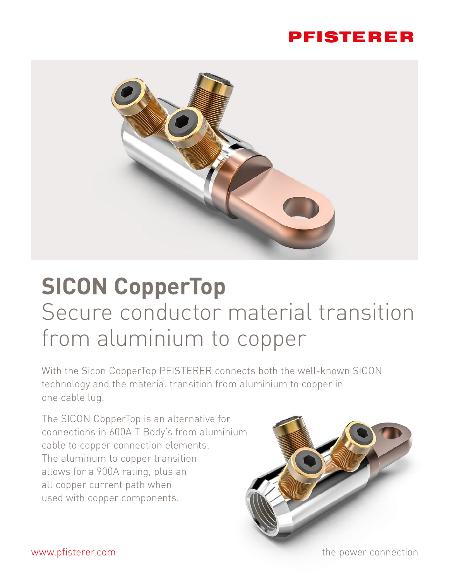## PFISTERER



# **SICON CopperTop** Secure conductor material transition from aluminium to copper

With the Sicon CopperTop PFISTERER connects both the well-known SICON technology and the material transition from aluminium to copper in one cable lug.

The SICON CopperTop is an alternative for connections in 600A T Body's from aluminium cable to copper connection elements. The aluminum to copper transition allows for a 900A rating, plus an all copper current path when used with copper components.